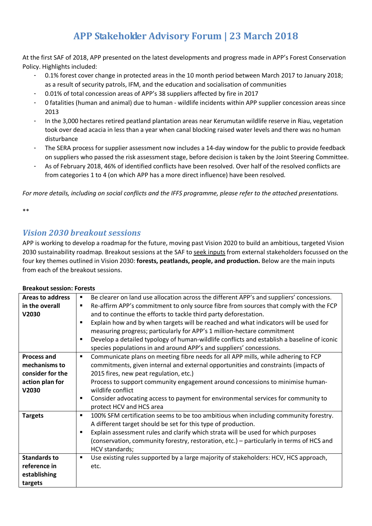# **APP Stakeholder Advisory Forum | 23 March 2018**

At the first SAF of 2018, APP presented on the latest developments and progress made in APP's Forest Conservation Policy. Highlights included:

- 0.1% forest cover change in protected areas in the 10 month period between March 2017 to January 2018; as a result of security patrols, IFM, and the education and socialisation of communities
- 0.01% of total concession areas of APP's 38 suppliers affected by fire in 2017
- 0 fatalities (human and animal) due to human wildlife incidents within APP supplier concession areas since 2013
- In the 3,000 hectares retired peatland plantation areas near Kerumutan wildlife reserve in Riau, vegetation took over dead acacia in less than a year when canal blocking raised water levels and there was no human disturbance
- The SERA process for supplier assessment now includes a 14-day window for the public to provide feedback on suppliers who passed the risk assessment stage, before decision is taken by the Joint Steering Committee.
- As of February 2018, 46% of identified conflicts have been resolved. Over half of the resolved conflicts are from categories 1 to 4 (on which APP has a more direct influence) have been resolved.

*For more details, including on social conflicts and the IFFS programme, please refer to the attached presentations.* 

\*\*

## *Vision 2030 breakout sessions*

APP is working to develop a roadmap for the future, moving past Vision 2020 to build an ambitious, targeted Vision 2030 sustainability roadmap. Breakout sessions at the SAF to seek inputs from external stakeholders focussed on the four key themes outlined in Vision 2030: **forests, peatlands, people, and production.** Below are the main inputs from each of the breakout sessions.

| <b>Areas to address</b><br>in the overall<br>V2030                                  | Be clearer on land use allocation across the different APP's and suppliers' concessions.<br>$\blacksquare$<br>Re-affirm APP's commitment to only source fibre from sources that comply with the FCP<br>٠<br>and to continue the efforts to tackle third party deforestation.<br>Explain how and by when targets will be reached and what indicators will be used for<br>$\blacksquare$<br>measuring progress; particularly for APP's 1 million-hectare commitment<br>Develop a detailed typology of human-wildlife conflicts and establish a baseline of iconic<br>$\blacksquare$<br>species populations in and around APP's and suppliers' concessions. |
|-------------------------------------------------------------------------------------|----------------------------------------------------------------------------------------------------------------------------------------------------------------------------------------------------------------------------------------------------------------------------------------------------------------------------------------------------------------------------------------------------------------------------------------------------------------------------------------------------------------------------------------------------------------------------------------------------------------------------------------------------------|
| <b>Process and</b><br>mechanisms to<br>consider for the<br>action plan for<br>V2030 | Communicate plans on meeting fibre needs for all APP mills, while adhering to FCP<br>٠<br>commitments, given internal and external opportunities and constraints (impacts of<br>2015 fires, new peat regulation, etc.)<br>Process to support community engagement around concessions to minimise human-<br>wildlife conflict<br>Consider advocating access to payment for environmental services for community to<br>٠<br>protect HCV and HCS area                                                                                                                                                                                                       |
| <b>Targets</b><br><b>Standards to</b><br>reference in                               | 100% SFM certification seems to be too ambitious when including community forestry.<br>$\blacksquare$<br>A different target should be set for this type of production.<br>Explain assessment rules and clarify which strata will be used for which purposes<br>٠<br>(conservation, community forestry, restoration, etc.) - particularly in terms of HCS and<br>HCV standards;<br>Use existing rules supported by a large majority of stakeholders: HCV, HCS approach,<br>٠<br>etc.                                                                                                                                                                      |
| establishing<br>targets                                                             |                                                                                                                                                                                                                                                                                                                                                                                                                                                                                                                                                                                                                                                          |

#### **Breakout session: Forests**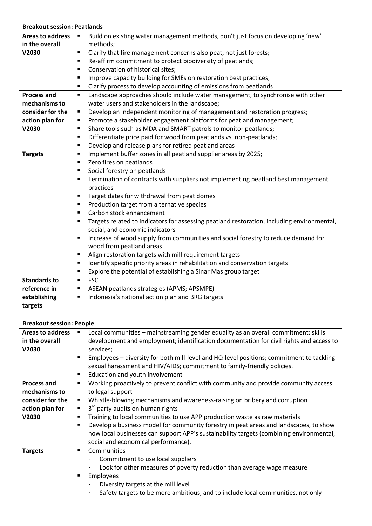#### **Breakout session: Peatlands**

| <b>Areas to address</b> | Build on existing water management methods, don't just focus on developing 'new'                    |
|-------------------------|-----------------------------------------------------------------------------------------------------|
| in the overall          | methods;                                                                                            |
| V2030                   | Clarify that fire management concerns also peat, not just forests;<br>٠                             |
|                         | Re-affirm commitment to protect biodiversity of peatlands;<br>$\blacksquare$                        |
|                         | Conservation of historical sites;<br>$\blacksquare$                                                 |
|                         | Improve capacity building for SMEs on restoration best practices;<br>$\blacksquare$                 |
|                         | Clarify process to develop accounting of emissions from peatlands<br>$\blacksquare$                 |
| <b>Process and</b>      | Landscape approaches should include water management, to synchronise with other<br>$\blacksquare$   |
| mechanisms to           | water users and stakeholders in the landscape;                                                      |
| consider for the        | Develop an independent monitoring of management and restoration progress;<br>٠                      |
| action plan for         | Promote a stakeholder engagement platforms for peatland management;<br>٠                            |
| V2030                   | Share tools such as MDA and SMART patrols to monitor peatlands;<br>٠                                |
|                         | Differentiate price paid for wood from peatlands vs. non-peatlands;<br>٠                            |
|                         | Develop and release plans for retired peatland areas<br>$\blacksquare$                              |
| <b>Targets</b>          | Implement buffer zones in all peatland supplier areas by 2025;<br>$\blacksquare$                    |
|                         | Zero fires on peatlands<br>$\blacksquare$                                                           |
|                         | Social forestry on peatlands<br>$\blacksquare$                                                      |
|                         | Termination of contracts with suppliers not implementing peatland best management<br>٠              |
|                         | practices                                                                                           |
|                         | Target dates for withdrawal from peat domes<br>٠                                                    |
|                         | Production target from alternative species<br>٠                                                     |
|                         | Carbon stock enhancement<br>$\blacksquare$                                                          |
|                         | Targets related to indicators for assessing peatland restoration, including environmental,<br>٠     |
|                         | social, and economic indicators                                                                     |
|                         | Increase of wood supply from communities and social forestry to reduce demand for<br>$\blacksquare$ |
|                         | wood from peatland areas                                                                            |
|                         | Align restoration targets with mill requirement targets<br>٠                                        |
|                         | Identify specific priority areas in rehabilitation and conservation targets<br>٠                    |
|                         | Explore the potential of establishing a Sinar Mas group target<br>$\blacksquare$                    |
| <b>Standards to</b>     | <b>FSC</b><br>$\blacksquare$                                                                        |
| reference in            | ASEAN peatlands strategies (APMS; APSMPE)<br>٠                                                      |
| establishing            | Indonesia's national action plan and BRG targets<br>٠                                               |
| targets                 |                                                                                                     |

#### **Breakout session: People**

| <b>Areas to address</b> | Local communities - mainstreaming gender equality as an overall commitment; skills<br>$\blacksquare$    |
|-------------------------|---------------------------------------------------------------------------------------------------------|
| in the overall          | development and employment; identification documentation for civil rights and access to                 |
| V2030                   | services;                                                                                               |
|                         | Employees - diversity for both mill-level and HQ-level positions; commitment to tackling<br>٠           |
|                         | sexual harassment and HIV/AIDS; commitment to family-friendly policies.                                 |
|                         | Education and youth involvement<br>٠                                                                    |
| <b>Process and</b>      | Working proactively to prevent conflict with community and provide community access<br>٠                |
| mechanisms to           | to legal support                                                                                        |
| consider for the        | Whistle-blowing mechanisms and awareness-raising on bribery and corruption<br>٠                         |
| action plan for         | 3 <sup>rd</sup> party audits on human rights<br>٠                                                       |
| V2030                   | Training to local communities to use APP production waste as raw materials<br>٠                         |
|                         | Develop a business model for community forestry in peat areas and landscapes, to show<br>$\blacksquare$ |
|                         | how local businesses can support APP's sustainability targets (combining environmental,                 |
|                         | social and economical performance).                                                                     |
| <b>Targets</b>          | Communities<br>٠                                                                                        |
|                         | Commitment to use local suppliers                                                                       |
|                         | Look for other measures of poverty reduction than average wage measure                                  |
|                         | Employees<br>٠                                                                                          |
|                         | Diversity targets at the mill level                                                                     |
|                         | Safety targets to be more ambitious, and to include local communities, not only                         |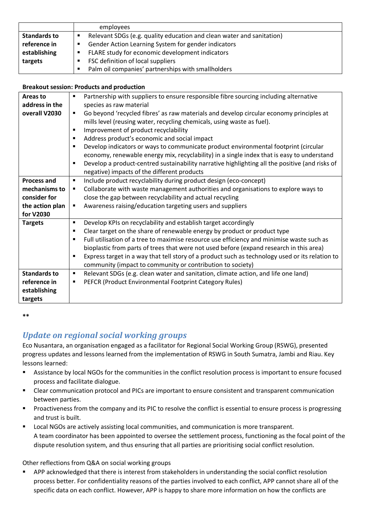|                     | employees                                                                  |
|---------------------|----------------------------------------------------------------------------|
| <b>Standards to</b> | Relevant SDGs (e.g. quality education and clean water and sanitation)<br>п |
| reference in        | Gender Action Learning System for gender indicators<br>$\blacksquare$      |
| establishing        | FLARE study for economic development indicators<br>$\blacksquare$          |
| targets             | FSC definition of local suppliers                                          |
|                     | Palm oil companies' partnerships with smallholders<br><b>Contract</b>      |

### **Breakout session: Products and production**

| Areas to            | Partnership with suppliers to ensure responsible fibre sourcing including alternative<br>٠            |
|---------------------|-------------------------------------------------------------------------------------------------------|
|                     |                                                                                                       |
| address in the      | species as raw material                                                                               |
| overall V2030       | Go beyond 'recycled fibres' as raw materials and develop circular economy principles at<br>٠          |
|                     | mills level (reusing water, recycling chemicals, using waste as fuel).                                |
|                     | Improvement of product recyclability<br>$\blacksquare$                                                |
|                     | Address product's economic and social impact<br>٠                                                     |
|                     | Develop indicators or ways to communicate product environmental footprint (circular<br>$\blacksquare$ |
|                     | economy, renewable energy mix, recyclability) in a single index that is easy to understand            |
|                     | Develop a product-centred sustainability narrative highlighting all the positive (and risks of<br>٠   |
|                     | negative) impacts of the different products                                                           |
| <b>Process and</b>  | Include product recyclability during product design (eco-concept)<br>٠                                |
| mechanisms to       | Collaborate with waste management authorities and organisations to explore ways to<br>٠               |
|                     |                                                                                                       |
| consider for        | close the gap between recyclability and actual recycling                                              |
| the action plan     | Awareness raising/education targeting users and suppliers<br>٠                                        |
| for V2030           |                                                                                                       |
| <b>Targets</b>      | Develop KPIs on recyclability and establish target accordingly<br>٠                                   |
|                     | Clear target on the share of renewable energy by product or product type                              |
|                     | Full utilisation of a tree to maximise resource use efficiency and minimise waste such as<br>٠        |
|                     | bioplastic from parts of trees that were not used before (expand research in this area)               |
|                     | Express target in a way that tell story of a product such as technology used or its relation to<br>٠  |
|                     | community (impact to community or contribution to society)                                            |
|                     |                                                                                                       |
| <b>Standards to</b> | Relevant SDGs (e.g. clean water and sanitation, climate action, and life one land)<br>٠               |
| reference in        | PEFCR (Product Environmental Footprint Category Rules)<br>٠                                           |
| establishing        |                                                                                                       |
| targets             |                                                                                                       |

**\*\*** 

# *Update on regional social working groups*

Eco Nusantara, an organisation engaged as a facilitator for Regional Social Working Group (RSWG), presented progress updates and lessons learned from the implementation of RSWG in South Sumatra, Jambi and Riau. Key lessons learned:

- ß Assistance by local NGOs for the communities in the conflict resolution process is important to ensure focused process and facilitate dialogue.
- ß Clear communication protocol and PICs are important to ensure consistent and transparent communication between parties.
- **•** Proactiveness from the company and its PIC to resolve the conflict is essential to ensure process is progressing and trust is built.
- ß Local NGOs are actively assisting local communities, and communication is more transparent. A team coordinator has been appointed to oversee the settlement process, functioning as the focal point of the dispute resolution system, and thus ensuring that all parties are prioritising social conflict resolution.

### Other reflections from Q&A on social working groups

**•** APP acknowledged that there is interest from stakeholders in understanding the social conflict resolution process better. For confidentiality reasons of the parties involved to each conflict, APP cannot share all of the specific data on each conflict. However, APP is happy to share more information on how the conflicts are